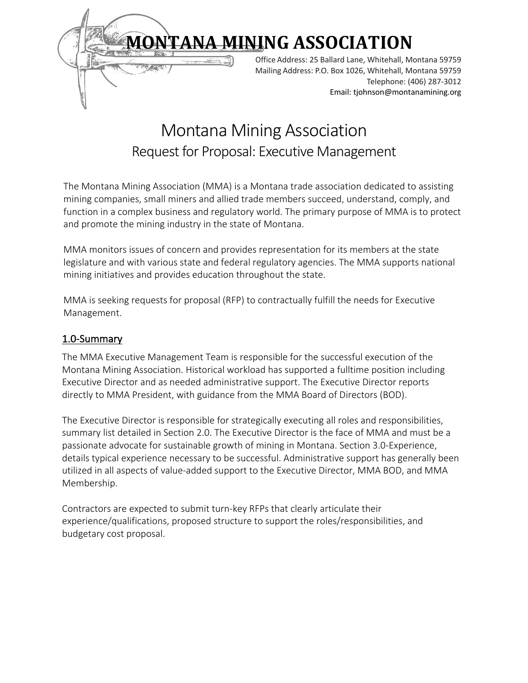

# Montana Mining Association Request for Proposal: Executive Management

 The Montana Mining Association (MMA) is a Montana trade association dedicated to assisting mining companies, small miners and allied trade members succeed, understand, comply, and function in a complex business and regulatory world. The primary purpose of MMA is to protect and promote the mining industry in the state of Montana.

MMA monitors issues of concern and provides representation for its members at the state legislature and with various state and federal regulatory agencies. The MMA supports national mining initiatives and provides education throughout the state.

MMA is seeking requests for proposal (RFP) to contractually fulfill the needs for Executive Management.

# 1.0-Summary

The MMA Executive Management Team is responsible for the successful execution of the Montana Mining Association. Historical workload has supported a fulltime position including Executive Director and as needed administrative support. The Executive Director reports directly to MMA President, with guidance from the MMA Board of Directors (BOD).

The Executive Director is responsible for strategically executing all roles and responsibilities, summary list detailed in Section 2.0. The Executive Director is the face of MMA and must be a passionate advocate for sustainable growth of mining in Montana. Section 3.0-Experience, details typical experience necessary to be successful. Administrative support has generally been utilized in all aspects of value-added support to the Executive Director, MMA BOD, and MMA Membership.

Contractors are expected to submit turn-key RFPs that clearly articulate their experience/qualifications, proposed structure to support the roles/responsibilities, and budgetary cost proposal.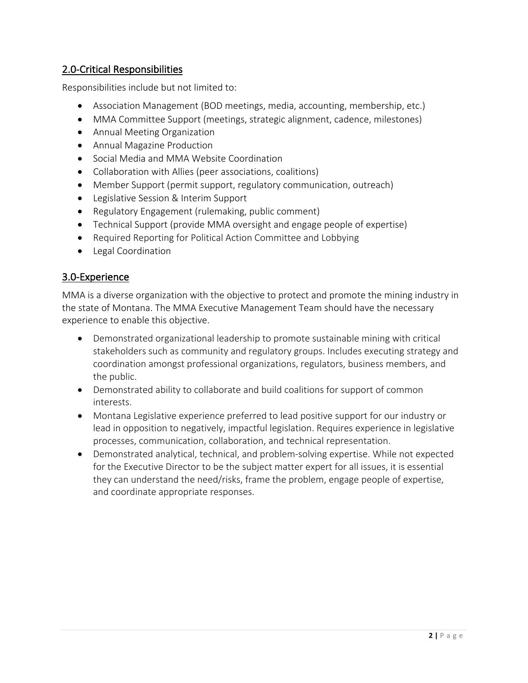# 2.0-Critical Responsibilities

Responsibilities include but not limited to:

- Association Management (BOD meetings, media, accounting, membership, etc.)
- MMA Committee Support (meetings, strategic alignment, cadence, milestones)
- Annual Meeting Organization
- Annual Magazine Production
- Social Media and MMA Website Coordination
- Collaboration with Allies (peer associations, coalitions)
- Member Support (permit support, regulatory communication, outreach)
- Legislative Session & Interim Support
- Regulatory Engagement (rulemaking, public comment)
- Technical Support (provide MMA oversight and engage people of expertise)
- Required Reporting for Political Action Committee and Lobbying
- Legal Coordination

## 3.0-Experience

MMA is a diverse organization with the objective to protect and promote the mining industry in the state of Montana. The MMA Executive Management Team should have the necessary experience to enable this objective.

- Demonstrated organizational leadership to promote sustainable mining with critical stakeholders such as community and regulatory groups. Includes executing strategy and coordination amongst professional organizations, regulators, business members, and the public.
- Demonstrated ability to collaborate and build coalitions for support of common interests.
- Montana Legislative experience preferred to lead positive support for our industry or lead in opposition to negatively, impactful legislation. Requires experience in legislative processes, communication, collaboration, and technical representation.
- Demonstrated analytical, technical, and problem-solving expertise. While not expected for the Executive Director to be the subject matter expert for all issues, it is essential they can understand the need/risks, frame the problem, engage people of expertise, and coordinate appropriate responses.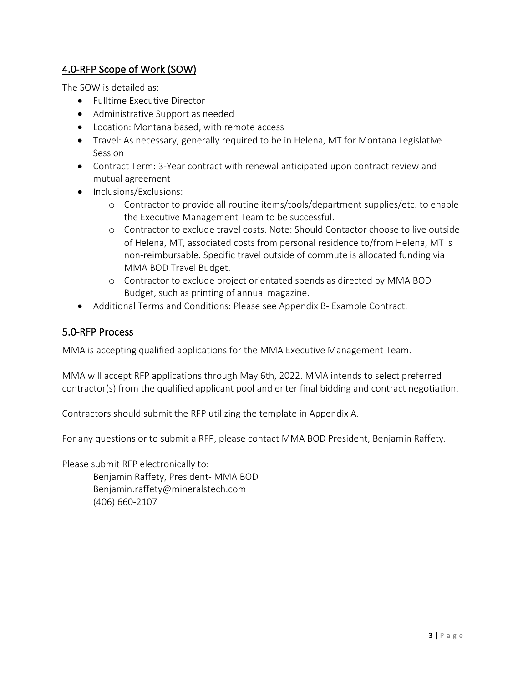# 4.0-RFP Scope of Work (SOW)

The SOW is detailed as:

- Fulltime Executive Director
- Administrative Support as needed
- Location: Montana based, with remote access
- Travel: As necessary, generally required to be in Helena, MT for Montana Legislative Session
- Contract Term: 3-Year contract with renewal anticipated upon contract review and mutual agreement
- Inclusions/Exclusions:
	- o Contractor to provide all routine items/tools/department supplies/etc. to enable the Executive Management Team to be successful.
	- o Contractor to exclude travel costs. Note: Should Contactor choose to live outside of Helena, MT, associated costs from personal residence to/from Helena, MT is non-reimbursable. Specific travel outside of commute is allocated funding via MMA BOD Travel Budget.
	- o Contractor to exclude project orientated spends as directed by MMA BOD Budget, such as printing of annual magazine.
- Additional Terms and Conditions: Please see Appendix B- Example Contract.

# 5.0-RFP Process

MMA is accepting qualified applications for the MMA Executive Management Team.

MMA will accept RFP applications through May 6th, 2022. MMA intends to select preferred contractor(s) from the qualified applicant pool and enter final bidding and contract negotiation.

Contractors should submit the RFP utilizing the template in Appendix A.

For any questions or to submit a RFP, please contact MMA BOD President, Benjamin Raffety.

Please submit RFP electronically to: Benjamin Raffety, President- MMA BOD Benjamin.raffety@mineralstech.com (406) 660-2107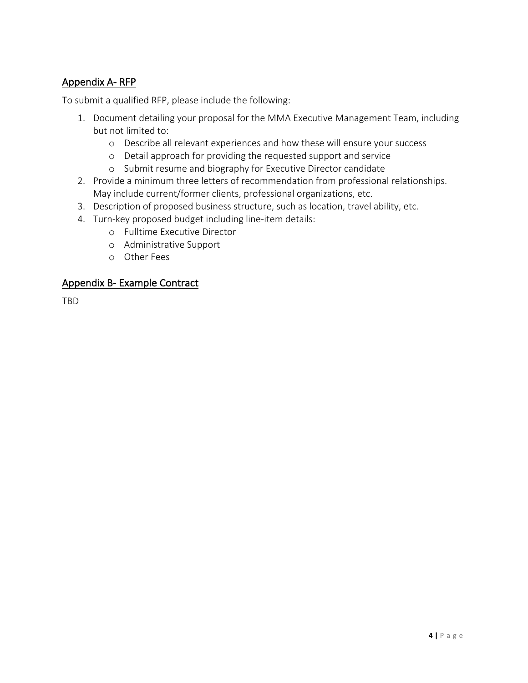# Appendix A- RFP

To submit a qualified RFP, please include the following:

- 1. Document detailing your proposal for the MMA Executive Management Team, including but not limited to:
	- o Describe all relevant experiences and how these will ensure your success
	- o Detail approach for providing the requested support and service
	- o Submit resume and biography for Executive Director candidate
- 2. Provide a minimum three letters of recommendation from professional relationships. May include current/former clients, professional organizations, etc.
- 3. Description of proposed business structure, such as location, travel ability, etc.
- 4. Turn-key proposed budget including line-item details:
	- o Fulltime Executive Director
	- o Administrative Support
	- o Other Fees

### Appendix B- Example Contract

TBD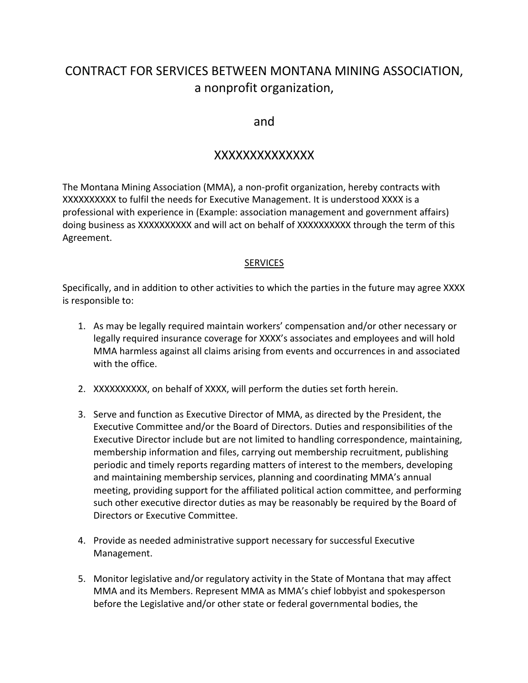# CONTRACT FOR SERVICES BETWEEN MONTANA MINING ASSOCIATION, a nonprofit organization,

# and

# XXXXXXXXXXXXXX

The Montana Mining Association (MMA), a non-profit organization, hereby contracts with XXXXXXXXXX to fulfil the needs for Executive Management. It is understood XXXX is a professional with experience in (Example: association management and government affairs) doing business as XXXXXXXXXX and will act on behalf of XXXXXXXXXX through the term of this Agreement.

#### SERVICES

Specifically, and in addition to other activities to which the parties in the future may agree XXXX is responsible to:

- 1. As may be legally required maintain workers' compensation and/or other necessary or legally required insurance coverage for XXXX's associates and employees and will hold MMA harmless against all claims arising from events and occurrences in and associated with the office.
- 2. XXXXXXXXXX, on behalf of XXXX, will perform the duties set forth herein.
- 3. Serve and function as Executive Director of MMA, as directed by the President, the Executive Committee and/or the Board of Directors. Duties and responsibilities of the Executive Director include but are not limited to handling correspondence, maintaining, membership information and files, carrying out membership recruitment, publishing periodic and timely reports regarding matters of interest to the members, developing and maintaining membership services, planning and coordinating MMA's annual meeting, providing support for the affiliated political action committee, and performing such other executive director duties as may be reasonably be required by the Board of Directors or Executive Committee.
- 4. Provide as needed administrative support necessary for successful Executive Management.
- 5. Monitor legislative and/or regulatory activity in the State of Montana that may affect MMA and its Members. Represent MMA as MMA's chief lobbyist and spokesperson before the Legislative and/or other state or federal governmental bodies, the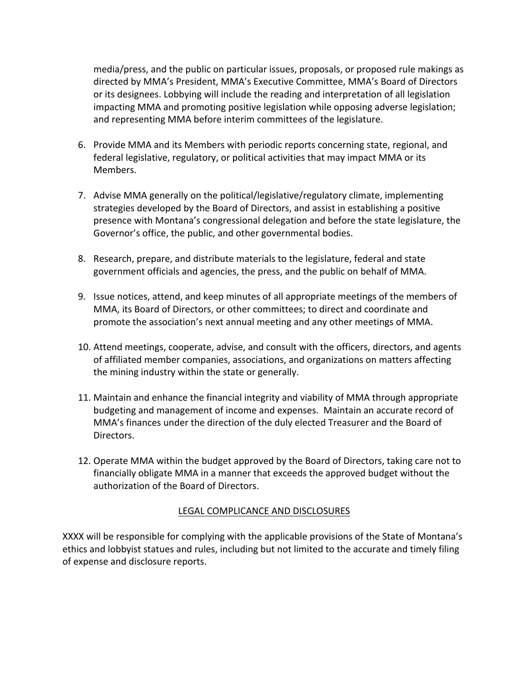media/press, and the public on particular issues, proposals, or proposed rule makings as directed by MMA's President, MMA's Executive Committee, MMA's Board of Directors or its designees. Lobbying will include the reading and interpretation of all legislation impacting MMA and promoting positive legislation while opposing adverse legislation; and representing MMA before interim committees of the legislature.

- 6. Provide MMA and its Members with periodic reports concerning state, regional, and federal legislative, regulatory, or political activities that may impact MMA or its Members.
- 7. Advise MMA generally on the political/legislative/regulatory climate, implementing strategies developed by the Board of Directors, and assist in establishing a positive presence with Montana's congressional delegation and before the state legislature, the Governor's office, the public, and other governmental bodies.
- 8. Research, prepare, and distribute materials to the legislature, federal and state government officials and agencies, the press, and the public on behalf of MMA.
- 9. Issue notices, attend, and keep minutes of all appropriate meetings of the members of MMA, its Board of Directors, or other committees; to direct and coordinate and promote the association's next annual meeting and any other meetings of MMA.
- 10. Attend meetings, cooperate, advise, and consult with the officers, directors, and agents of affiliated member companies, associations, and organizations on matters affecting the mining industry within the state or generally.
- 11. Maintain and enhance the financial integrity and viability of MMA through appropriate budgeting and management of income and expenses. Maintain an accurate record of MMA's finances under the direction of the duly elected Treasurer and the Board of Directors.
- 12. Operate MMA within the budget approved by the Board of Directors, taking care not to financially obligate MMA in a manner that exceeds the approved budget without the authorization of the Board of Directors.

#### LEGAL COMPLICANCE AND DISCLOSURES

XXXX will be responsible for complying with the applicable provisions of the State of Montana's ethics and lobbyist statues and rules, including but not limited to the accurate and timely filing of expense and disclosure reports.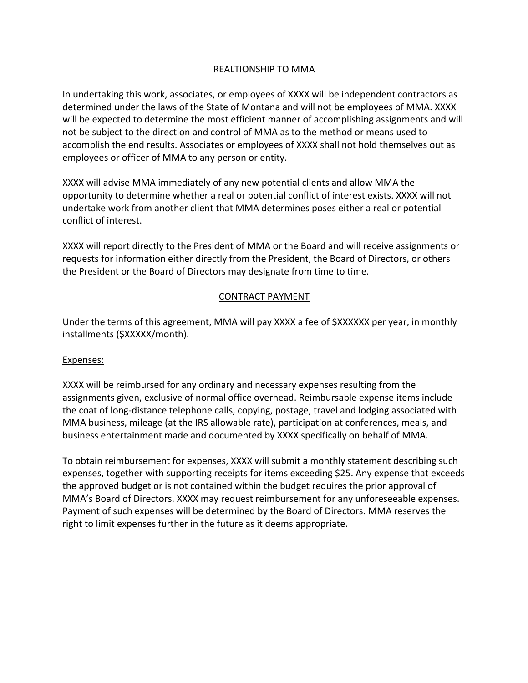### REALTIONSHIP TO MMA

In undertaking this work, associates, or employees of XXXX will be independent contractors as determined under the laws of the State of Montana and will not be employees of MMA. XXXX will be expected to determine the most efficient manner of accomplishing assignments and will not be subject to the direction and control of MMA as to the method or means used to accomplish the end results. Associates or employees of XXXX shall not hold themselves out as employees or officer of MMA to any person or entity.

XXXX will advise MMA immediately of any new potential clients and allow MMA the opportunity to determine whether a real or potential conflict of interest exists. XXXX will not undertake work from another client that MMA determines poses either a real or potential conflict of interest.

XXXX will report directly to the President of MMA or the Board and will receive assignments or requests for information either directly from the President, the Board of Directors, or others the President or the Board of Directors may designate from time to time.

### CONTRACT PAYMENT

Under the terms of this agreement, MMA will pay XXXX a fee of \$XXXXXX per year, in monthly installments (\$XXXXX/month).

#### Expenses:

XXXX will be reimbursed for any ordinary and necessary expenses resulting from the assignments given, exclusive of normal office overhead. Reimbursable expense items include the coat of long-distance telephone calls, copying, postage, travel and lodging associated with MMA business, mileage (at the IRS allowable rate), participation at conferences, meals, and business entertainment made and documented by XXXX specifically on behalf of MMA.

To obtain reimbursement for expenses, XXXX will submit a monthly statement describing such expenses, together with supporting receipts for items exceeding \$25. Any expense that exceeds the approved budget or is not contained within the budget requires the prior approval of MMA's Board of Directors. XXXX may request reimbursement for any unforeseeable expenses. Payment of such expenses will be determined by the Board of Directors. MMA reserves the right to limit expenses further in the future as it deems appropriate.